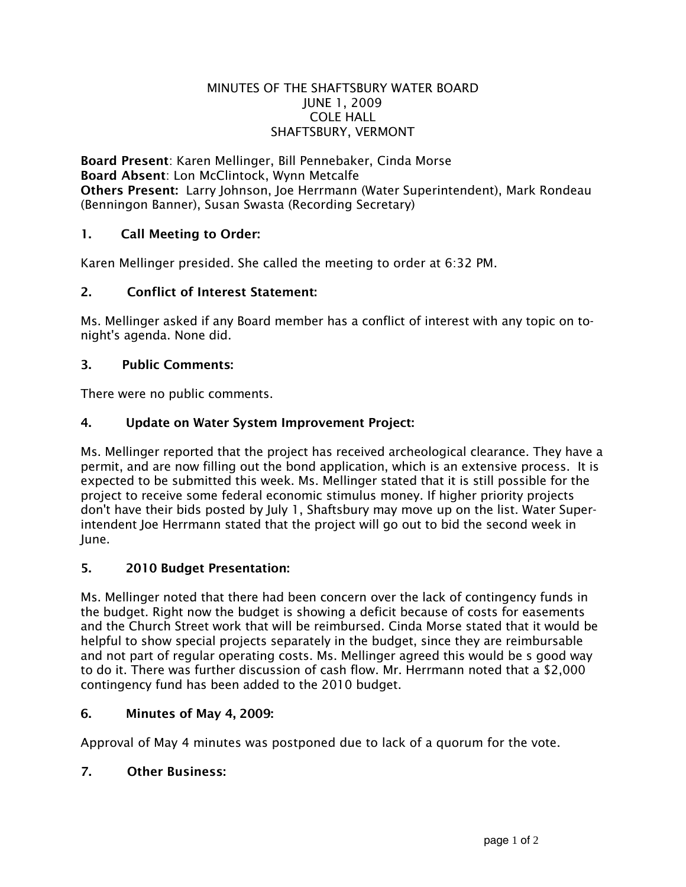#### MINUTES OF THE SHAFTSBURY WATER BOARD JUNE 1, 2009 COLE HALL SHAFTSBURY, VERMONT

Board Present: Karen Mellinger, Bill Pennebaker, Cinda Morse Board Absent: Lon McClintock, Wynn Metcalfe Others Present: Larry Johnson, Joe Herrmann (Water Superintendent), Mark Rondeau (Benningon Banner), Susan Swasta (Recording Secretary)

# 1. Call Meeting to Order:

Karen Mellinger presided. She called the meeting to order at 6:32 PM.

#### 2. Conflict of Interest Statement:

Ms. Mellinger asked if any Board member has a conflict of interest with any topic on tonight's agenda. None did.

#### 3. Public Comments:

There were no public comments.

### 4. Update on Water System Improvement Project:

Ms. Mellinger reported that the project has received archeological clearance. They have a permit, and are now filling out the bond application, which is an extensive process. It is expected to be submitted this week. Ms. Mellinger stated that it is still possible for the project to receive some federal economic stimulus money. If higher priority projects don't have their bids posted by July 1, Shaftsbury may move up on the list. Water Superintendent Joe Herrmann stated that the project will go out to bid the second week in June.

#### 5. 2010 Budget Presentation:

Ms. Mellinger noted that there had been concern over the lack of contingency funds in the budget. Right now the budget is showing a deficit because of costs for easements and the Church Street work that will be reimbursed. Cinda Morse stated that it would be helpful to show special projects separately in the budget, since they are reimbursable and not part of regular operating costs. Ms. Mellinger agreed this would be s good way to do it. There was further discussion of cash flow. Mr. Herrmann noted that a \$2,000 contingency fund has been added to the 2010 budget.

#### 6. Minutes of May 4, 2009:

Approval of May 4 minutes was postponed due to lack of a quorum for the vote.

#### 7. Other Business: